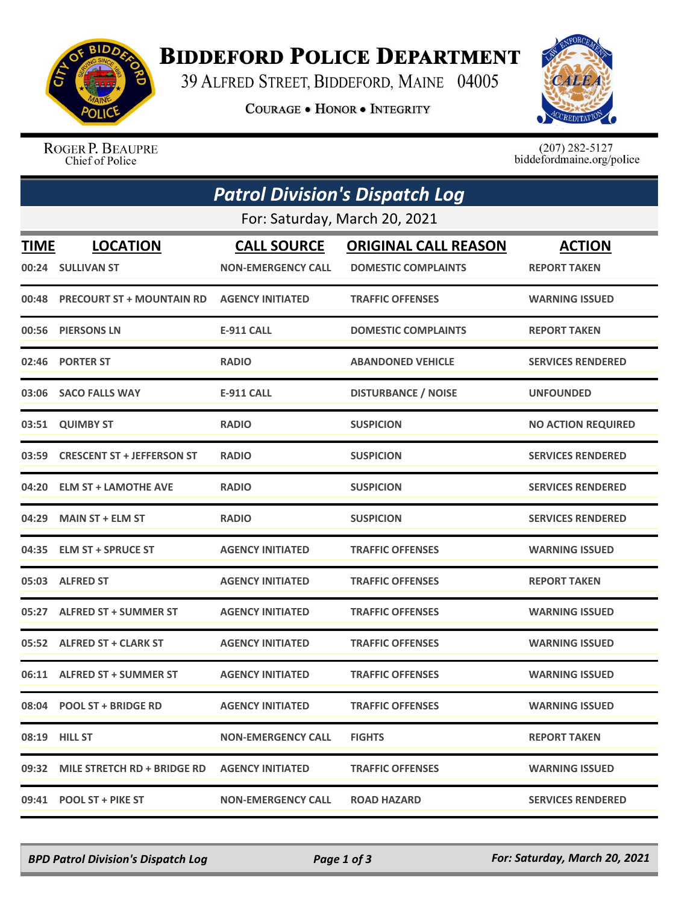

## **BIDDEFORD POLICE DEPARTMENT**

39 ALFRED STREET, BIDDEFORD, MAINE 04005

**COURAGE . HONOR . INTEGRITY** 



ROGER P. BEAUPRE Chief of Police

 $(207)$  282-5127<br>biddefordmaine.org/police

| <b>Patrol Division's Dispatch Log</b><br>For: Saturday, March 20, 2021 |                                   |                           |                            |                           |  |  |
|------------------------------------------------------------------------|-----------------------------------|---------------------------|----------------------------|---------------------------|--|--|
|                                                                        |                                   |                           |                            |                           |  |  |
|                                                                        | 00:24 SULLIVAN ST                 | <b>NON-EMERGENCY CALL</b> | <b>DOMESTIC COMPLAINTS</b> | <b>REPORT TAKEN</b>       |  |  |
| 00:48                                                                  | <b>PRECOURT ST + MOUNTAIN RD</b>  | <b>AGENCY INITIATED</b>   | <b>TRAFFIC OFFENSES</b>    | <b>WARNING ISSUED</b>     |  |  |
| 00:56                                                                  | <b>PIERSONS LN</b>                | <b>E-911 CALL</b>         | <b>DOMESTIC COMPLAINTS</b> | <b>REPORT TAKEN</b>       |  |  |
| 02:46                                                                  | <b>PORTER ST</b>                  | <b>RADIO</b>              | <b>ABANDONED VEHICLE</b>   | <b>SERVICES RENDERED</b>  |  |  |
| 03:06                                                                  | <b>SACO FALLS WAY</b>             | <b>E-911 CALL</b>         | <b>DISTURBANCE / NOISE</b> | <b>UNFOUNDED</b>          |  |  |
| 03:51                                                                  | <b>QUIMBY ST</b>                  | <b>RADIO</b>              | <b>SUSPICION</b>           | <b>NO ACTION REQUIRED</b> |  |  |
| 03:59                                                                  | <b>CRESCENT ST + JEFFERSON ST</b> | <b>RADIO</b>              | <b>SUSPICION</b>           | <b>SERVICES RENDERED</b>  |  |  |
| 04:20                                                                  | <b>ELM ST + LAMOTHE AVE</b>       | <b>RADIO</b>              | <b>SUSPICION</b>           | <b>SERVICES RENDERED</b>  |  |  |
| 04:29                                                                  | <b>MAIN ST + ELM ST</b>           | <b>RADIO</b>              | <b>SUSPICION</b>           | <b>SERVICES RENDERED</b>  |  |  |
| 04:35                                                                  | <b>ELM ST + SPRUCE ST</b>         | <b>AGENCY INITIATED</b>   | <b>TRAFFIC OFFENSES</b>    | <b>WARNING ISSUED</b>     |  |  |
|                                                                        | 05:03 ALFRED ST                   | <b>AGENCY INITIATED</b>   | <b>TRAFFIC OFFENSES</b>    | <b>REPORT TAKEN</b>       |  |  |
| 05:27                                                                  | <b>ALFRED ST + SUMMER ST</b>      | <b>AGENCY INITIATED</b>   | <b>TRAFFIC OFFENSES</b>    | <b>WARNING ISSUED</b>     |  |  |
|                                                                        | 05:52 ALFRED ST + CLARK ST        | <b>AGENCY INITIATED</b>   | <b>TRAFFIC OFFENSES</b>    | <b>WARNING ISSUED</b>     |  |  |
|                                                                        | 06:11 ALFRED ST + SUMMER ST       | <b>AGENCY INITIATED</b>   | <b>TRAFFIC OFFENSES</b>    | <b>WARNING ISSUED</b>     |  |  |
|                                                                        | 08:04 POOL ST + BRIDGE RD         | <b>AGENCY INITIATED</b>   | <b>TRAFFIC OFFENSES</b>    | <b>WARNING ISSUED</b>     |  |  |
|                                                                        | 08:19 HILL ST                     | <b>NON-EMERGENCY CALL</b> | <b>FIGHTS</b>              | <b>REPORT TAKEN</b>       |  |  |
|                                                                        | 09:32 MILE STRETCH RD + BRIDGE RD | <b>AGENCY INITIATED</b>   | <b>TRAFFIC OFFENSES</b>    | <b>WARNING ISSUED</b>     |  |  |
|                                                                        | 09:41 POOL ST + PIKE ST           | <b>NON-EMERGENCY CALL</b> | <b>ROAD HAZARD</b>         | <b>SERVICES RENDERED</b>  |  |  |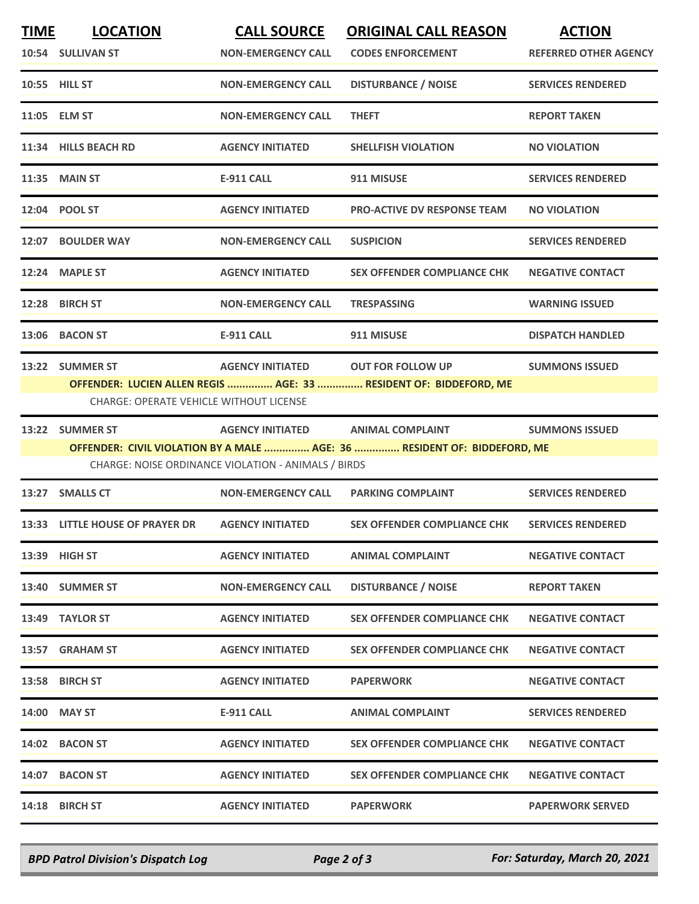| <b>TIME</b> | <b>LOCATION</b><br>10:54 SULLIVAN ST                              | <b>CALL SOURCE</b><br><b>NON-EMERGENCY CALL</b>                                          | <b>ORIGINAL CALL REASON</b><br><b>CODES ENFORCEMENT</b>                                       | <b>ACTION</b><br><b>REFERRED OTHER AGENCY</b> |
|-------------|-------------------------------------------------------------------|------------------------------------------------------------------------------------------|-----------------------------------------------------------------------------------------------|-----------------------------------------------|
|             | 10:55 HILL ST                                                     | <b>NON-EMERGENCY CALL</b>                                                                | <b>DISTURBANCE / NOISE</b>                                                                    | <b>SERVICES RENDERED</b>                      |
|             | 11:05 ELM ST                                                      | <b>NON-EMERGENCY CALL</b>                                                                | <b>THEFT</b>                                                                                  | <b>REPORT TAKEN</b>                           |
|             | 11:34 HILLS BEACH RD                                              | <b>AGENCY INITIATED</b>                                                                  | <b>SHELLFISH VIOLATION</b>                                                                    | <b>NO VIOLATION</b>                           |
|             | <b>11:35 MAIN ST</b>                                              | <b>E-911 CALL</b>                                                                        | 911 MISUSE                                                                                    | <b>SERVICES RENDERED</b>                      |
|             | 12:04 POOL ST                                                     | <b>AGENCY INITIATED</b>                                                                  | <b>PRO-ACTIVE DV RESPONSE TEAM</b>                                                            | <b>NO VIOLATION</b>                           |
|             | 12:07 BOULDER WAY                                                 | <b>NON-EMERGENCY CALL</b>                                                                | <b>SUSPICION</b>                                                                              | <b>SERVICES RENDERED</b>                      |
|             | 12:24 MAPLE ST                                                    | <b>AGENCY INITIATED</b>                                                                  | <b>SEX OFFENDER COMPLIANCE CHK</b>                                                            | <b>NEGATIVE CONTACT</b>                       |
|             | 12:28 BIRCH ST                                                    | <b>NON-EMERGENCY CALL</b>                                                                | <b>TRESPASSING</b>                                                                            | <b>WARNING ISSUED</b>                         |
|             | 13:06 BACON ST                                                    | <b>E-911 CALL</b>                                                                        | 911 MISUSE                                                                                    | <b>DISPATCH HANDLED</b>                       |
|             | 13:22 SUMMER ST<br><b>CHARGE: OPERATE VEHICLE WITHOUT LICENSE</b> | <b>AGENCY INITIATED</b>                                                                  | <b>OUT FOR FOLLOW UP</b><br>OFFENDER: LUCIEN ALLEN REGIS  AGE: 33  RESIDENT OF: BIDDEFORD, ME | <b>SUMMONS ISSUED</b>                         |
|             | 13:22 SUMMER ST                                                   | AGENCY INITIATED ANIMAL COMPLAINT<br>CHARGE: NOISE ORDINANCE VIOLATION - ANIMALS / BIRDS | OFFENDER: CIVIL VIOLATION BY A MALE  AGE: 36  RESIDENT OF: BIDDEFORD, ME                      | <b>SUMMONS ISSUED</b>                         |
|             | 13:27 SMALLS CT                                                   | <b>NON-EMERGENCY CALL</b>                                                                | <b>PARKING COMPLAINT</b>                                                                      | <b>SERVICES RENDERED</b>                      |
|             | 13:33 LITTLE HOUSE OF PRAYER DR                                   | <b>AGENCY INITIATED</b>                                                                  | <b>SEX OFFENDER COMPLIANCE CHK</b>                                                            | <b>SERVICES RENDERED</b>                      |
|             | 13:39 HIGH ST                                                     | <b>AGENCY INITIATED</b>                                                                  | <b>ANIMAL COMPLAINT</b>                                                                       | <b>NEGATIVE CONTACT</b>                       |
|             | 13:40 SUMMER ST                                                   | <b>NON-EMERGENCY CALL</b>                                                                | <b>DISTURBANCE / NOISE</b>                                                                    | <b>REPORT TAKEN</b>                           |
|             | 13:49 TAYLOR ST                                                   | <b>AGENCY INITIATED</b>                                                                  | <b>SEX OFFENDER COMPLIANCE CHK</b>                                                            | <b>NEGATIVE CONTACT</b>                       |
|             | 13:57 GRAHAM ST                                                   | <b>AGENCY INITIATED</b>                                                                  | <b>SEX OFFENDER COMPLIANCE CHK</b>                                                            | <b>NEGATIVE CONTACT</b>                       |
|             | 13:58 BIRCH ST                                                    | <b>AGENCY INITIATED</b>                                                                  | <b>PAPERWORK</b>                                                                              | <b>NEGATIVE CONTACT</b>                       |
| 14:00       | <b>MAY ST</b>                                                     | <b>E-911 CALL</b>                                                                        | <b>ANIMAL COMPLAINT</b>                                                                       | <b>SERVICES RENDERED</b>                      |
|             | 14:02 BACON ST                                                    | <b>AGENCY INITIATED</b>                                                                  | <b>SEX OFFENDER COMPLIANCE CHK</b>                                                            | <b>NEGATIVE CONTACT</b>                       |
|             | 14:07 BACON ST                                                    | <b>AGENCY INITIATED</b>                                                                  | <b>SEX OFFENDER COMPLIANCE CHK</b>                                                            | <b>NEGATIVE CONTACT</b>                       |
|             | 14:18 BIRCH ST                                                    | <b>AGENCY INITIATED</b>                                                                  | <b>PAPERWORK</b>                                                                              | <b>PAPERWORK SERVED</b>                       |

*BPD Patrol Division's Dispatch Log Page 2 of 3 For: Saturday, March 20, 2021*